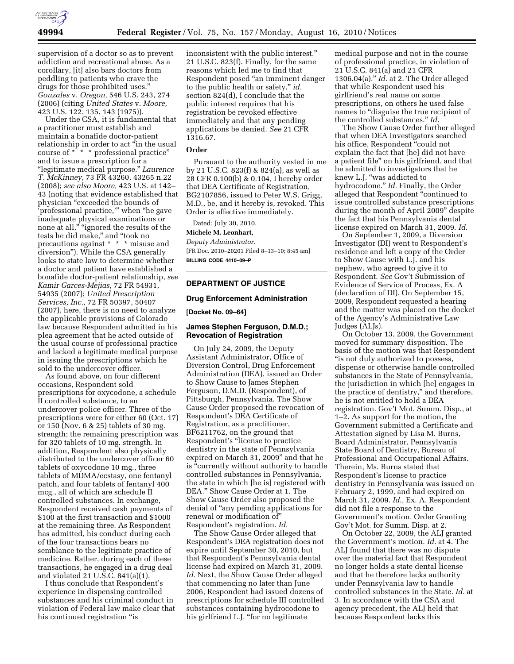

supervision of a doctor so as to prevent addiction and recreational abuse. As a corollary, [it] also bars doctors from peddling to patients who crave the drugs for those prohibited uses.'' *Gonzales* v. *Oregon,* 546 U.S. 243, 274 (2006) (citing *United States* v. *Moore,*  423 U.S. 122, 135, 143 (1975)).

Under the CSA, it is fundamental that a practitioner must establish and maintain a bonafide doctor-patient relationship in order to act "in the usual course of \* \* \* professional practice'' and to issue a prescription for a ''legitimate medical purpose.'' *Laurence T. McKinney,* 73 FR 43260, 43265 n.22 (2008); *see also Moore,* 423 U.S. at 142– 43 (noting that evidence established that physician ''exceeded the bounds of 'professional practice,''' when ''he gave inadequate physical examinations or none at all," "ignored the results of the tests he did make,'' and ''took no precautions against \* \* \* misuse and diversion''). While the CSA generally looks to state law to determine whether a doctor and patient have established a bonafide doctor-patient relationship, *see Kamir Garces-Mejias,* 72 FR 54931, 54935 (2007); *United Prescription Services, Inc.,* 72 FR 50397, 50407 (2007), here, there is no need to analyze the applicable provisions of Colorado law because Respondent admitted in his plea agreement that he acted outside of the usual course of professional practice and lacked a legitimate medical purpose in issuing the prescriptions which he sold to the undercover officer.

As found above, on four different occasions, Respondent sold prescriptions for oxycodone, a schedule II controlled substance, to an undercover police officer. Three of the prescriptions were for either 60 (Oct. 17) or 150 (Nov. 6 & 25) tablets of 30 mg. strength; the remaining prescription was for 320 tablets of 10 mg. strength. In addition, Respondent also physically distributed to the undercover officer 60 tablets of oxycodone 10 mg., three tablets of MDMA/ecstasy, one fentanyl patch, and four tablets of fentanyl 400 mcg., all of which are schedule II controlled substances. In exchange, Respondent received cash payments of \$100 at the first transaction and \$1000 at the remaining three. As Respondent has admitted, his conduct during each of the four transactions bears no semblance to the legitimate practice of medicine. Rather, during each of these transactions, he engaged in a drug deal and violated 21 U.S.C. 841(a)(1).

I thus conclude that Respondent's experience in dispensing controlled substances and his criminal conduct in violation of Federal law make clear that his continued registration ''is

inconsistent with the public interest.'' 21 U.S.C. 823(f). Finally, for the same reasons which led me to find that Respondent posed ''an imminent danger to the public health or safety,'' *id.*  section 824(d), I conclude that the public interest requires that his registration be revoked effective immediately and that any pending applications be denied. *See* 21 CFR 1316.67.

#### **Order**

Pursuant to the authority vested in me by 21 U.S.C. 823(f) & 824(a), as well as 28 CFR 0.100(b) & 0.104, I hereby order that DEA Certificate of Registration, BG2107856, issued to Peter W.S. Grigg, M.D., be, and it hereby is, revoked. This Order is effective immediately.

Dated: July 30, 2010. **Michele M. Leonhart,**  *Deputy Administrator.* 

[FR Doc. 2010–20201 Filed 8–13–10; 8:45 am] **BILLING CODE 4410–09–P** 

# **DEPARTMENT OF JUSTICE**

#### **Drug Enforcement Administration**

**[Docket No. 09–64]** 

### **James Stephen Ferguson, D.M.D.; Revocation of Registration**

On July 24, 2009, the Deputy Assistant Administrator, Office of Diversion Control, Drug Enforcement Administration (DEA), issued an Order to Show Cause to James Stephen Ferguson, D.M.D. (Respondent), of Pittsburgh, Pennsylvania. The Show Cause Order proposed the revocation of Respondent's DEA Certificate of Registration, as a practitioner, BF6211762, on the ground that Respondent's ''license to practice dentistry in the state of Pennsylvania expired on March 31, 2009'' and that he is ''currently without authority to handle controlled substances in Pennsylvania, the state in which [he is] registered with DEA.'' Show Cause Order at 1. The Show Cause Order also proposed the denial of "any pending applications for renewal or modification of'' Respondent's registration. *Id.* 

The Show Cause Order alleged that Respondent's DEA registration does not expire until September 30, 2010, but that Respondent's Pennsylvania dental license had expired on March 31, 2009. *Id.* Next, the Show Cause Order alleged that commencing no later than June 2006, Respondent had issued dozens of prescriptions for schedule III controlled substances containing hydrocodone to his girlfriend L.J. "for no legitimate

medical purpose and not in the course of professional practice, in violation of 21 U.S.C. 841(a) and 21 CFR 1306.04(a).'' *Id.* at 2. The Order alleged that while Respondent used his girlfriend's real name on some prescriptions, on others he used false names to "disguise the true recipient of the controlled substances.'' *Id.* 

The Show Cause Order further alleged that when DEA Investigators searched his office, Respondent "could not explain the fact that [he] did not have a patient file'' on his girlfriend, and that he admitted to investigators that he knew L.J. ''was addicted to hydrocodone.'' *Id.* Finally, the Order alleged that Respondent ''continued to issue controlled substance prescriptions during the month of April 2009'' despite the fact that his Pennsylvania dental license expired on March 31, 2009. *Id.* 

On September 1, 2009, a Diversion Investigator (DI) went to Respondent's residence and left a copy of the Order to Show Cause with L.J. and his nephew, who agreed to give it to Respondent. *See* Gov't Submission of Evidence of Service of Process, Ex. A (declaration of DI). On September 15, 2009, Respondent requested a hearing and the matter was placed on the docket of the Agency's Administrative Law Judges (ALJs).

On October 13, 2009, the Government moved for summary disposition. The basis of the motion was that Respondent "is not duly authorized to possess, dispense or otherwise handle controlled substances in the State of Pennsylvania, the jurisdiction in which [he] engages in the practice of dentistry,'' and therefore, he is not entitled to hold a DEA registration. Gov't Mot. Summ. Disp., at 1–2. As support for the motion, the Government submitted a Certificate and Attestation signed by Lisa M. Burns, Board Administrator, Pennsylvania State Board of Dentistry, Bureau of Professional and Occupational Affairs. Therein, Ms. Burns stated that Respondent's license to practice dentistry in Pennsylvania was issued on February 2, 1999, and had expired on March 31, 2009. *Id.,* Ex. A. Respondent did not file a response to the Government's motion. Order Granting Gov't Mot. for Summ. Disp. at 2.

On October 22, 2009, the ALJ granted the Government's motion. *Id.* at 4. The ALJ found that there was no dispute over the material fact that Respondent no longer holds a state dental license and that he therefore lacks authority under Pennsylvania law to handle controlled substances in the State. *Id.* at 3. In accordance with the CSA and agency precedent, the ALJ held that because Respondent lacks this